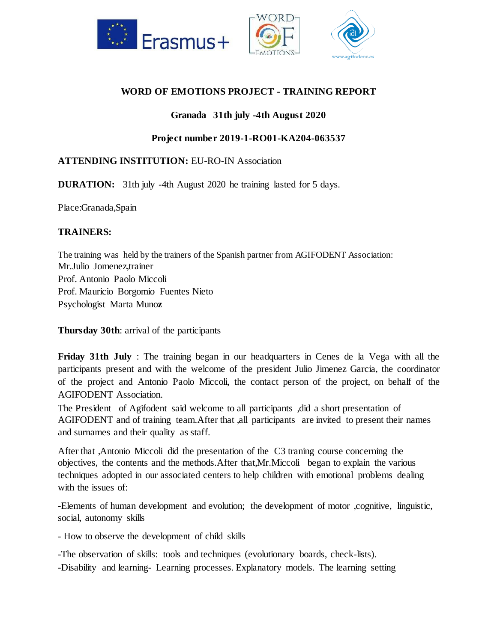

# **WORD OF EMOTIONS PROJECT - TRAINING REPORT**

### **Granada 31th july -4th August 2020**

### **Project number 2019-1-RO01-KA204-063537**

## **ATTENDING INSTITUTION:** EU-RO-IN Association

**DURATION:** 31th july -4th August 2020 he training lasted for 5 days.

Place:Granada,Spain

## **TRAINERS:**

The training was held by the trainers of the Spanish partner from AGIFODENT Association: Mr.Julio Jomenez,trainer Prof. Antonio Paolo Miccoli Prof. Mauricio Borgomio Fuentes Nieto Psychologist Marta Muno**z**

**Thursday 30th**: arrival of the participants

**Friday 31th July** : The training began in our headquarters in Cenes de la Vega with all the participants present and with the welcome of the president Julio Jimenez Garcia, the coordinator of the project and Antonio Paolo Miccoli, the contact person of the project, on behalf of the AGIFODENT Association.

The President of Agifodent said welcome to all participants ,did a short presentation of AGIFODENT and of training team.After that ,all participants are invited to present their names and surnames and their quality as staff.

After that ,Antonio Miccoli did the presentation of the C3 traning course concerning the objectives, the contents and the methods.After that,Mr.Miccoli began to explain the various techniques adopted in our associated centers to help children with emotional problems dealing with the issues of:

-Elements of human development and evolution; the development of motor ,cognitive, linguistic, social, autonomy skills

- How to observe the development of child skills

-The observation of skills: tools and techniques (evolutionary boards, check-lists).

-Disability and learning- Learning processes. Explanatory models. The learning setting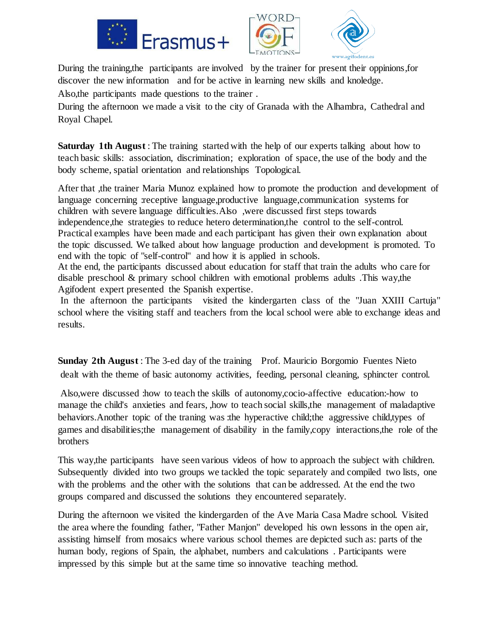



During the training,the participants are involved by the trainer for present their oppinions,for discover the new information and for be active in learning new skills and knoledge. Also,the participants made questions to the trainer .

During the afternoon we made a visit to the city of Granada with the Alhambra, Cathedral and Royal Chapel.

**Saturday 1th August** : The training started with the help of our experts talking about how to teach basic skills: association, discrimination; exploration of space, the use of the body and the body scheme, spatial orientation and relationships Topological.

After that ,the trainer Maria Munoz explained how to promote the production and development of language concerning receptive language,productive language,communication systems for children with severe language difficulties.Also ,were discussed first steps towards independence,the strategies to reduce hetero determination,the control to the self-control. Practical examples have been made and each participant has given their own explanation about the topic discussed. We talked about how language production and development is promoted. To end with the topic of "self-control" and how it is applied in schools.

At the end, the participants discussed about education for staff that train the adults who care for disable preschool & primary school children with emotional problems adults .This way,the Agifodent expert presented the Spanish expertise.

In the afternoon the participants visited the kindergarten class of the "Juan XXIII Cartuja" school where the visiting staff and teachers from the local school were able to exchange ideas and results.

**Sunday 2th August** : The 3-ed day of the training Prof. Mauricio Borgomio Fuentes Nieto dealt with the theme of basic autonomy activities, feeding, personal cleaning, sphincter control.

Also,were discussed :how to teach the skills of autonomy,cocio-affective education:-how to manage the child's anxieties and fears, ,how to teach social skills,the management of maladaptive behaviors. Another topic of the traning was :the hyperactive child; the aggressive child, types of games and disabilities;the management of disability in the family,copy interactions,the role of the brothers

This way,the participants have seen various videos of how to approach the subject with children. Subsequently divided into two groups we tackled the topic separately and compiled two lists, one with the problems and the other with the solutions that can be addressed. At the end the two groups compared and discussed the solutions they encountered separately.

During the afternoon we visited the kindergarden of the Ave Maria Casa Madre school. Visited the area where the founding father, "Father Manjon" developed his own lessons in the open air, assisting himself from mosaics where various school themes are depicted such as: parts of the human body, regions of Spain, the alphabet, numbers and calculations . Participants were impressed by this simple but at the same time so innovative teaching method.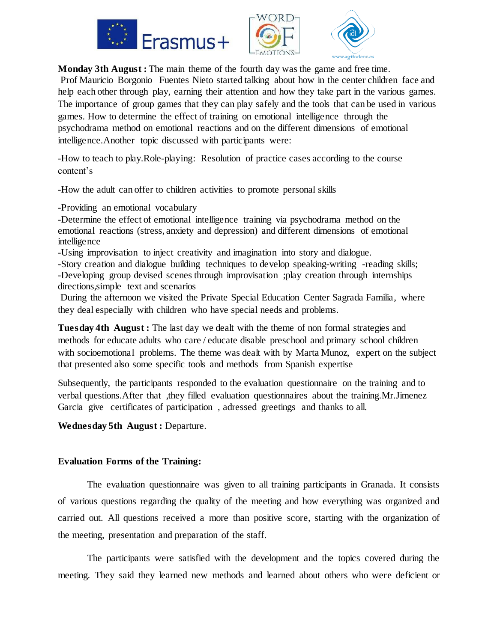





**Monday 3th August :** The main theme of the fourth day was the game and free time. Prof Mauricio Borgonio Fuentes Nieto started talking about how in the center children face and help each other through play, earning their attention and how they take part in the various games. The importance of group games that they can play safely and the tools that can be used in various games. How to determine the effect of training on emotional intelligence through the psychodrama method on emotional reactions and on the different dimensions of emotional intelligence.Another topic discussed with participants were:

-How to teach to play.Role-playing: Resolution of practice cases according to the course content's

-How the adult can offer to children activities to promote personal skills

-Providing an emotional vocabulary

-Determine the effect of emotional intelligence training via psychodrama method on the emotional reactions (stress, anxiety and depression) and different dimensions of emotional intelligence

-Using improvisation to inject creativity and imagination into story and dialogue.

-Story creation and dialogue building techniques to develop speaking-writing -reading skills; -Developing group devised scenes through improvisation ;play creation through internships directions,simple text and scenarios

During the afternoon we visited the Private Special Education Center Sagrada Familia, where they deal especially with children who have special needs and problems.

**Tuesday 4th August :** The last day we dealt with the theme of non formal strategies and methods for educate adults who care / educate disable preschool and primary school children with socioemotional problems. The theme was dealt with by Marta Munoz, expert on the subject that presented also some specific tools and methods from Spanish expertise

Subsequently, the participants responded to the evaluation questionnaire on the training and to verbal questions.After that ,they filled evaluation questionnaires about the training.Mr.Jimenez Garcia give certificates of participation , adressed greetings and thanks to all.

**Wednesday 5th August :** Departure.

#### **Evaluation Forms of the Training:**

The evaluation questionnaire was given to all training participants in Granada. It consists of various questions regarding the quality of the meeting and how everything was organized and carried out. All questions received a more than positive score, starting with the organization of the meeting, presentation and preparation of the staff.

The participants were satisfied with the development and the topics covered during the meeting. They said they learned new methods and learned about others who were deficient or